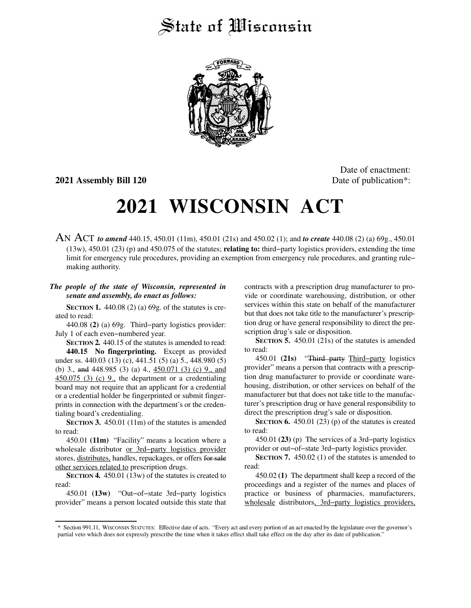## State of *Wisconsin*



**2021 Assembly Bill 120** Date of publication<sup>\*</sup>:

Date of enactment:

# **2021 WISCONSIN ACT**

AN ACT *to amend* 440.15, 450.01 (11m), 450.01 (21s) and 450.02 (1); and *to create* 440.08 (2) (a) 69g., 450.01 (13w), 450.01 (23) (p) and 450.075 of the statutes; **relating to:** third−party logistics providers, extending the time limit for emergency rule procedures, providing an exemption from emergency rule procedures, and granting rule− making authority.

### *The people of the state of Wisconsin, represented in senate and assembly, do enact as follows:*

**SECTION 1.** 440.08 (2) (a) 69g. of the statutes is created to read:

440.08 **(2)** (a) 69g. Third−party logistics provider: July 1 of each even−numbered year.

**SECTION 2.** 440.15 of the statutes is amended to read: **440.15 No fingerprinting.** Except as provided under ss. 440.03 (13) (c), 441.51 (5) (a) 5., 448.980 (5) (b) 3., and 448.985 (3) (a) 4., 450.071 (3) (c) 9., and  $450.075$  (3) (c) 9., the department or a credentialing board may not require that an applicant for a credential or a credential holder be fingerprinted or submit fingerprints in connection with the department's or the credentialing board's credentialing.

**SECTION 3.** 450.01 (11m) of the statutes is amended to read:

450.01 **(11m)** "Facility" means a location where a wholesale distributor or 3rd−party logistics provider stores, distributes, handles, repackages, or offers for sale other services related to prescription drugs.

**SECTION 4.** 450.01 (13w) of the statutes is created to read:

450.01 **(13w)** "Out−of−state 3rd−party logistics provider" means a person located outside this state that contracts with a prescription drug manufacturer to provide or coordinate warehousing, distribution, or other services within this state on behalf of the manufacturer but that does not take title to the manufacturer's prescription drug or have general responsibility to direct the prescription drug's sale or disposition.

**SECTION 5.** 450.01 (21s) of the statutes is amended to read:

450.01 **(21s)** "Third party Third−party logistics provider" means a person that contracts with a prescription drug manufacturer to provide or coordinate warehousing, distribution, or other services on behalf of the manufacturer but that does not take title to the manufacturer's prescription drug or have general responsibility to direct the prescription drug's sale or disposition.

**SECTION 6.** 450.01 (23) (p) of the statutes is created to read:

450.01 **(23)** (p) The services of a 3rd−party logistics provider or out−of−state 3rd−party logistics provider.

**SECTION 7.** 450.02 (1) of the statutes is amended to read:

450.02 **(1)** The department shall keep a record of the proceedings and a register of the names and places of practice or business of pharmacies, manufacturers, wholesale distributors, 3rd−party logistics providers,

<sup>\*</sup> Section 991.11, WISCONSIN STATUTES: Effective date of acts. "Every act and every portion of an act enacted by the legislature over the governor's partial veto which does not expressly prescribe the time when it takes effect shall take effect on the day after its date of publication."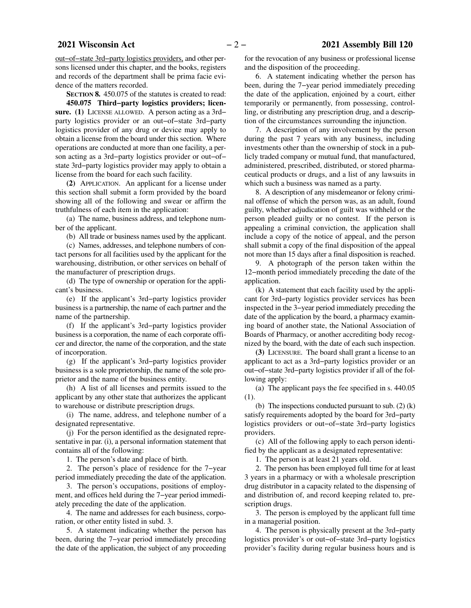out−of−state 3rd−party logistics providers, and other persons licensed under this chapter, and the books, registers and records of the department shall be prima facie evidence of the matters recorded.

**SECTION 8.** 450.075 of the statutes is created to read:

**450.075 Third−party logistics providers; licen**sure. (1) LICENSE ALLOWED. A person acting as a 3rd− party logistics provider or an out−of−state 3rd−party logistics provider of any drug or device may apply to obtain a license from the board under this section. Where operations are conducted at more than one facility, a person acting as a 3rd−party logistics provider or out−of− state 3rd−party logistics provider may apply to obtain a license from the board for each such facility.

**(2)** APPLICATION. An applicant for a license under this section shall submit a form provided by the board showing all of the following and swear or affirm the truthfulness of each item in the application:

(a) The name, business address, and telephone number of the applicant.

(b) All trade or business names used by the applicant.

(c) Names, addresses, and telephone numbers of contact persons for all facilities used by the applicant for the warehousing, distribution, or other services on behalf of the manufacturer of prescription drugs.

(d) The type of ownership or operation for the applicant's business.

(e) If the applicant's 3rd−party logistics provider business is a partnership, the name of each partner and the name of the partnership.

(f) If the applicant's 3rd−party logistics provider business is a corporation, the name of each corporate officer and director, the name of the corporation, and the state of incorporation.

(g) If the applicant's 3rd−party logistics provider business is a sole proprietorship, the name of the sole proprietor and the name of the business entity.

(h) A list of all licenses and permits issued to the applicant by any other state that authorizes the applicant to warehouse or distribute prescription drugs.

(i) The name, address, and telephone number of a designated representative.

(j) For the person identified as the designated representative in par. (i), a personal information statement that contains all of the following:

1. The person's date and place of birth.

2. The person's place of residence for the 7−year period immediately preceding the date of the application.

3. The person's occupations, positions of employment, and offices held during the 7−year period immediately preceding the date of the application.

4. The name and addresses for each business, corporation, or other entity listed in subd. 3.

5. A statement indicating whether the person has been, during the 7−year period immediately preceding the date of the application, the subject of any proceeding for the revocation of any business or professional license and the disposition of the proceeding.

6. A statement indicating whether the person has been, during the 7−year period immediately preceding the date of the application, enjoined by a court, either temporarily or permanently, from possessing, controlling, or distributing any prescription drug, and a description of the circumstances surrounding the injunction.

7. A description of any involvement by the person during the past 7 years with any business, including investments other than the ownership of stock in a publicly traded company or mutual fund, that manufactured, administered, prescribed, distributed, or stored pharmaceutical products or drugs, and a list of any lawsuits in which such a business was named as a party.

8. A description of any misdemeanor or felony criminal offense of which the person was, as an adult, found guilty, whether adjudication of guilt was withheld or the person pleaded guilty or no contest. If the person is appealing a criminal conviction, the application shall include a copy of the notice of appeal, and the person shall submit a copy of the final disposition of the appeal not more than 15 days after a final disposition is reached.

9. A photograph of the person taken within the 12−month period immediately preceding the date of the application.

(k) A statement that each facility used by the applicant for 3rd−party logistics provider services has been inspected in the 3−year period immediately preceding the date of the application by the board, a pharmacy examining board of another state, the National Association of Boards of Pharmacy, or another accrediting body recognized by the board, with the date of each such inspection.

**(3)** LICENSURE. The board shall grant a license to an applicant to act as a 3rd−party logistics provider or an out−of−state 3rd−party logistics provider if all of the following apply:

(a) The applicant pays the fee specified in s. 440.05 (1).

(b) The inspections conducted pursuant to sub.  $(2)$  (k) satisfy requirements adopted by the board for 3rd−party logistics providers or out−of−state 3rd−party logistics providers.

(c) All of the following apply to each person identified by the applicant as a designated representative:

1. The person is at least 21 years old.

2. The person has been employed full time for at least 3 years in a pharmacy or with a wholesale prescription drug distributor in a capacity related to the dispensing of and distribution of, and record keeping related to, prescription drugs.

3. The person is employed by the applicant full time in a managerial position.

4. The person is physically present at the 3rd−party logistics provider's or out−of−state 3rd−party logistics provider's facility during regular business hours and is